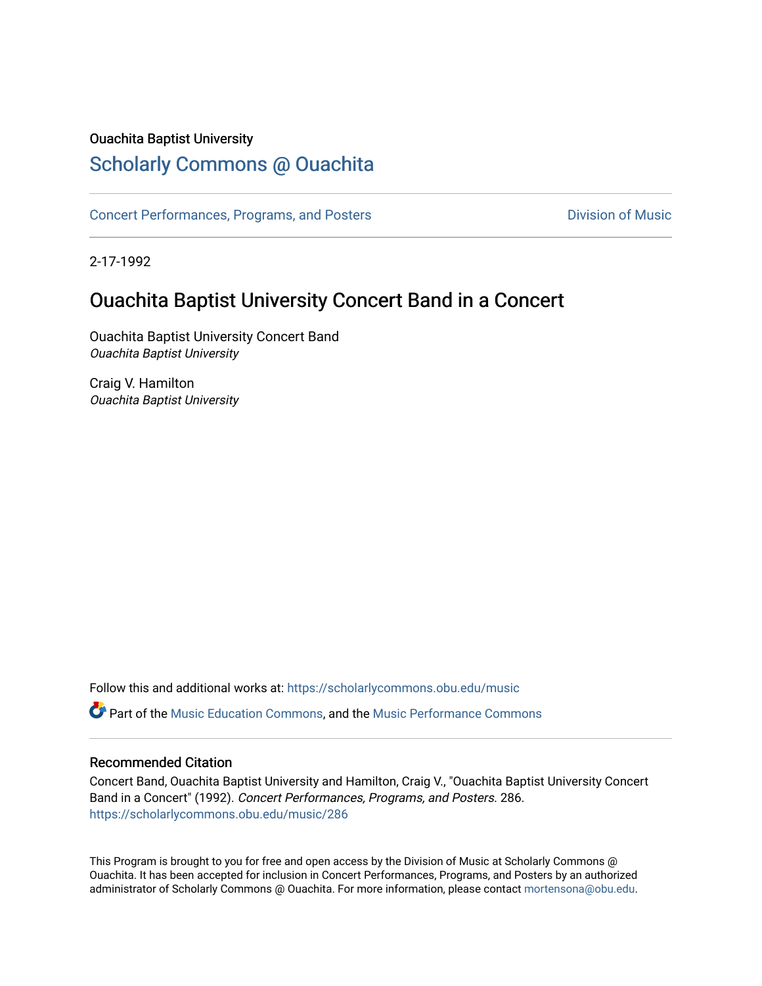#### Ouachita Baptist University

### [Scholarly Commons @ Ouachita](https://scholarlycommons.obu.edu/)

[Concert Performances, Programs, and Posters](https://scholarlycommons.obu.edu/music) **Division of Music** Division of Music

2-17-1992

### Ouachita Baptist University Concert Band in a Concert

Ouachita Baptist University Concert Band Ouachita Baptist University

Craig V. Hamilton Ouachita Baptist University

Follow this and additional works at: [https://scholarlycommons.obu.edu/music](https://scholarlycommons.obu.edu/music?utm_source=scholarlycommons.obu.edu%2Fmusic%2F286&utm_medium=PDF&utm_campaign=PDFCoverPages)  **C** Part of the [Music Education Commons,](http://network.bepress.com/hgg/discipline/1246?utm_source=scholarlycommons.obu.edu%2Fmusic%2F286&utm_medium=PDF&utm_campaign=PDFCoverPages) and the Music Performance Commons

#### Recommended Citation

Concert Band, Ouachita Baptist University and Hamilton, Craig V., "Ouachita Baptist University Concert Band in a Concert" (1992). Concert Performances, Programs, and Posters. 286. [https://scholarlycommons.obu.edu/music/286](https://scholarlycommons.obu.edu/music/286?utm_source=scholarlycommons.obu.edu%2Fmusic%2F286&utm_medium=PDF&utm_campaign=PDFCoverPages) 

This Program is brought to you for free and open access by the Division of Music at Scholarly Commons @ Ouachita. It has been accepted for inclusion in Concert Performances, Programs, and Posters by an authorized administrator of Scholarly Commons @ Ouachita. For more information, please contact [mortensona@obu.edu](mailto:mortensona@obu.edu).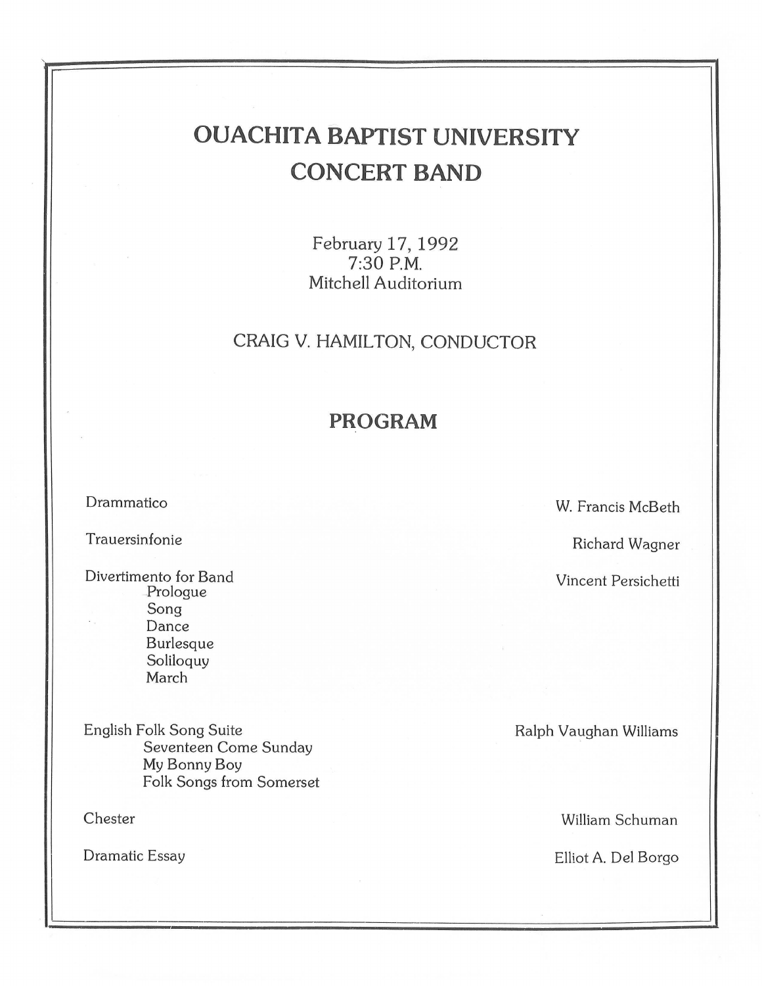# **OUACHITA BAPTIST UNIVERSITY CONCERT BAND**

February 17, 1992 7:30P.M. Mitchell Auditorium

### CRAIG V. HAMILTON, CONDUCTOR

### **PROGRAM**

Drammatico

Trauersinfonie

Divertimento for Band Prologue Song Dance Burlesque Soliloquy March

English Folk Song Suite Seventeen Come Sunday My Bonny Boy Folk Songs from Somerset

Chester

Dramatic Essay

W. Francis McBeth

Richard Wagner

Vincent Persichetti

Ralph Vaughan Williams

William Schuman

Elliot A. Del Sorgo